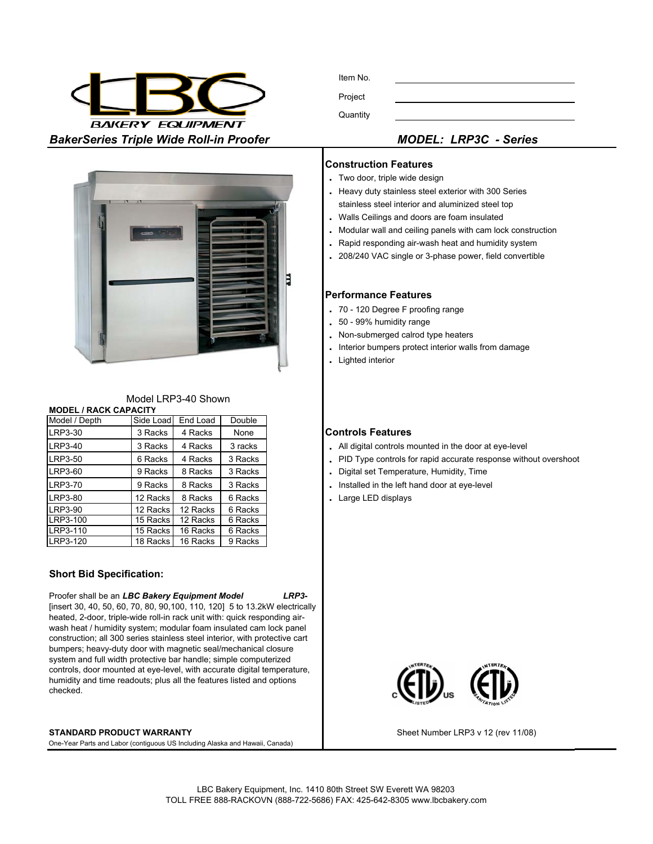

Item No. Project **Quantity** 



| MUULI LINF J-40 SHUWH        |         |                    |               |  |  |
|------------------------------|---------|--------------------|---------------|--|--|
| <b>MODEL / RACK CAPACITY</b> |         |                    |               |  |  |
| Model / Depth                |         | Side Load End Load | <b>Double</b> |  |  |
| LRP3-30                      | 3 Racks | 4 Racks            | None          |  |  |
| LRP3-40                      | 3 Racks | 4 Racks            | 3 rack        |  |  |
| LRP3-50                      | 6 Racks | 4 Racks            | 3 Rack        |  |  |

Model LDD<sub>3</sub>-40 Shown

| LRP3-50        | 6 Racks  | 4 Racks  | 3 Racks |
|----------------|----------|----------|---------|
| LRP3-60        | 9 Racks  | 8 Racks  | 3 Racks |
| <b>LRP3-70</b> | 9 Racks  | 8 Racks  | 3 Racks |
| LRP3-80        | 12 Racks | 8 Racks  | 6 Racks |
| LRP3-90        | 12 Racks | 12 Racks | 6 Racks |
| LRP3-100       | 15 Racks | 12 Racks | 6 Racks |
| LRP3-110       | 15 Racks | 16 Racks | 6 Racks |
| LRP3-120       | 18 Racks | 16 Racks | 9 Racks |

## **Short Bid Specification:**

Proofer shall be an *LBC Bakery Equipment Model LRP3-*  [insert 30, 40, 50, 60, 70, 80, 90,100, 110, 120] 5 to 13.2kW electrically heated, 2-door, triple-wide roll-in rack unit with: quick responding airwash heat / humidity system; modular foam insulated cam lock panel construction; all 300 series stainless steel interior, with protective cart bumpers; heavy-duty door with magnetic seal/mechanical closure system and full width protective bar handle; simple computerized controls, door mounted at eye-level, with accurate digital temperature, humidity and time readouts; plus all the features listed and options checked.

#### **STANDARD PRODUCT WARRANTY**

One-Year Parts and Labor (contiguous US Including Alaska and Hawaii, Canada)

### **Construction Features**

- **.** Two door, triple wide design
- **.** Heavy duty stainless steel exterior with 300 Series stainless steel interior and aluminized steel top
- **.** Walls Ceilings and doors are foam insulated
- **.** Modular wall and ceiling panels with cam lock construction
- **.** Rapid responding air-wash heat and humidity system
- **.** 208/240 VAC single or 3-phase power, field convertible

#### **Performance Features**

- **.** 70 120 Degree F proofing range
- **.** 50 99% humidity range
- **.** Non-submerged calrod type heaters
- **.** Interior bumpers protect interior walls from damage
- **.** Lighted interior

#### **Controls Features**

- . All digital controls mounted in the door at eye-level
- . PID Type controls for rapid accurate response without overshoot
- **.** Digital set Temperature, Humidity, Time
- . Installed in the left hand door at eye-level
- . Large LED displays



Sheet Number LRP3 v 12 (rev 11/08)